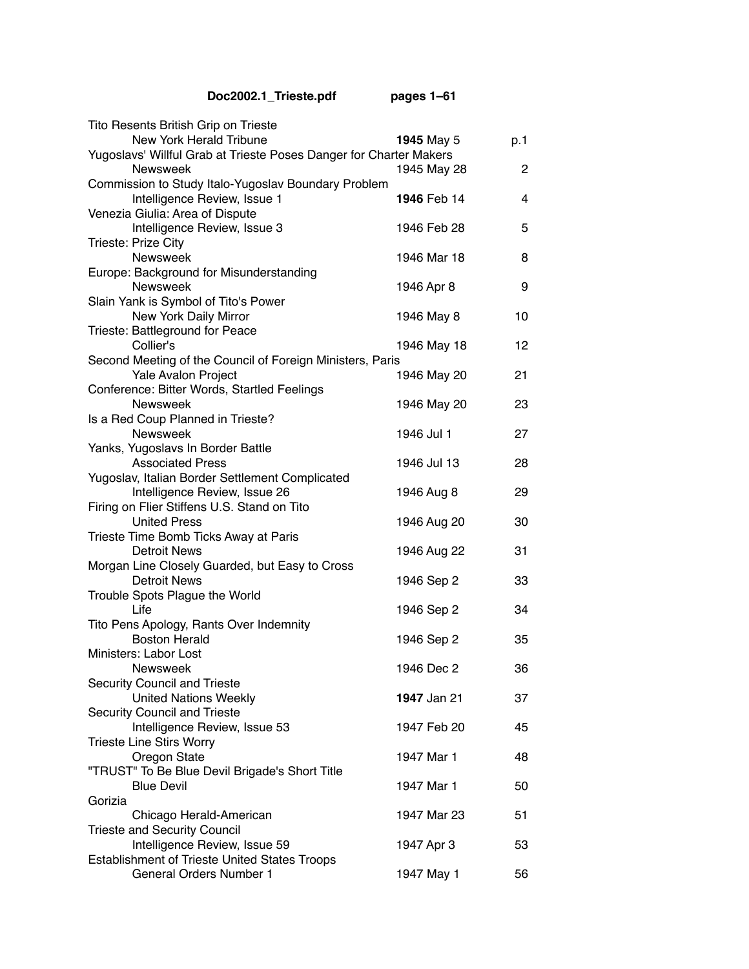| Doc2002.1_Trieste.pdf                                              | pages 1-61         |     |
|--------------------------------------------------------------------|--------------------|-----|
| Tito Resents British Grip on Trieste                               |                    |     |
| New York Herald Tribune                                            | 1945 May 5         | p.1 |
| Yugoslavs' Willful Grab at Trieste Poses Danger for Charter Makers |                    |     |
| <b>Newsweek</b>                                                    | 1945 May 28        | 2   |
| Commission to Study Italo-Yugoslav Boundary Problem                |                    |     |
| Intelligence Review, Issue 1                                       | 1946 Feb 14        | 4   |
| Venezia Giulia: Area of Dispute                                    |                    |     |
| Intelligence Review, Issue 3                                       | 1946 Feb 28        | 5   |
| Trieste: Prize City                                                |                    |     |
| <b>Newsweek</b>                                                    | 1946 Mar 18        | 8   |
| Europe: Background for Misunderstanding                            |                    |     |
| <b>Newsweek</b>                                                    | 1946 Apr 8         | 9   |
| Slain Yank is Symbol of Tito's Power                               |                    |     |
| New York Daily Mirror                                              | 1946 May 8         | 10  |
| Trieste: Battleground for Peace                                    |                    |     |
| Collier's                                                          | 1946 May 18        | 12  |
| Second Meeting of the Council of Foreign Ministers, Paris          |                    |     |
| Yale Avalon Project                                                | 1946 May 20        | 21  |
| Conference: Bitter Words, Startled Feelings                        |                    |     |
| <b>Newsweek</b>                                                    | 1946 May 20        | 23  |
| Is a Red Coup Planned in Trieste?                                  |                    |     |
| <b>Newsweek</b>                                                    | 1946 Jul 1         | 27  |
| Yanks, Yugoslavs In Border Battle<br><b>Associated Press</b>       | 1946 Jul 13        | 28  |
| Yugoslav, Italian Border Settlement Complicated                    |                    |     |
| Intelligence Review, Issue 26                                      | 1946 Aug 8         | 29  |
| Firing on Flier Stiffens U.S. Stand on Tito                        |                    |     |
| <b>United Press</b>                                                | 1946 Aug 20        | 30  |
| Trieste Time Bomb Ticks Away at Paris                              |                    |     |
| <b>Detroit News</b>                                                | 1946 Aug 22        | 31  |
| Morgan Line Closely Guarded, but Easy to Cross                     |                    |     |
| <b>Detroit News</b>                                                | 1946 Sep 2         | 33  |
| Trouble Spots Plague the World                                     |                    |     |
| Life                                                               | 1946 Sep 2         | 34  |
| Tito Pens Apology, Rants Over Indemnity                            |                    |     |
| <b>Boston Herald</b>                                               | 1946 Sep 2         | 35  |
| Ministers: Labor Lost                                              |                    |     |
| <b>Newsweek</b>                                                    | 1946 Dec 2         | 36  |
| <b>Security Council and Trieste</b>                                |                    |     |
| <b>United Nations Weekly</b>                                       | <b>1947 Jan 21</b> | 37  |
| <b>Security Council and Trieste</b>                                |                    |     |
| Intelligence Review, Issue 53                                      | 1947 Feb 20        | 45  |
| <b>Trieste Line Stirs Worry</b>                                    |                    |     |
| Oregon State                                                       | 1947 Mar 1         | 48  |
| "TRUST" To Be Blue Devil Brigade's Short Title                     |                    |     |
| <b>Blue Devil</b>                                                  | 1947 Mar 1         | 50  |
| Gorizia                                                            |                    |     |
| Chicago Herald-American                                            | 1947 Mar 23        | 51  |
| <b>Trieste and Security Council</b>                                |                    |     |
| Intelligence Review, Issue 59                                      | 1947 Apr 3         | 53  |
| Establishment of Trieste United States Troops                      |                    |     |
| <b>General Orders Number 1</b>                                     | 1947 May 1         | 56  |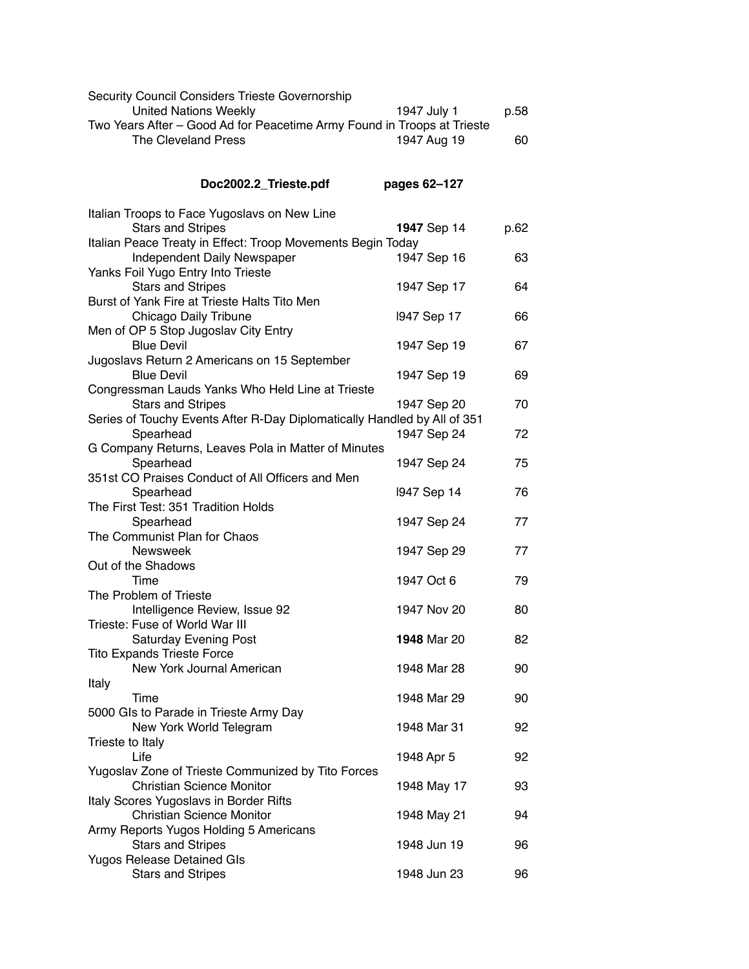| Security Council Considers Trieste Governorship<br><b>United Nations Weekly</b>                      | 1947 July 1        | p.58 |
|------------------------------------------------------------------------------------------------------|--------------------|------|
| Two Years After - Good Ad for Peacetime Army Found in Troops at Trieste<br>The Cleveland Press       | 1947 Aug 19        | 60   |
| Doc2002.2_Trieste.pdf                                                                                | pages 62-127       |      |
| Italian Troops to Face Yugoslavs on New Line                                                         |                    |      |
| <b>Stars and Stripes</b>                                                                             | 1947 Sep 14        | p.62 |
| Italian Peace Treaty in Effect: Troop Movements Begin Today                                          |                    |      |
| Independent Daily Newspaper<br>Yanks Foil Yugo Entry Into Trieste                                    | 1947 Sep 16        | 63   |
| <b>Stars and Stripes</b>                                                                             | 1947 Sep 17        | 64   |
| Burst of Yank Fire at Trieste Halts Tito Men                                                         |                    |      |
| Chicago Daily Tribune                                                                                | 1947 Sep 17        | 66   |
| Men of OP 5 Stop Jugoslav City Entry                                                                 |                    |      |
| <b>Blue Devil</b>                                                                                    | 1947 Sep 19        | 67   |
| Jugoslavs Return 2 Americans on 15 September                                                         |                    |      |
| <b>Blue Devil</b>                                                                                    | 1947 Sep 19        | 69   |
| Congressman Lauds Yanks Who Held Line at Trieste                                                     |                    |      |
| <b>Stars and Stripes</b><br>Series of Touchy Events After R-Day Diplomatically Handled by All of 351 | 1947 Sep 20        | 70   |
| Spearhead                                                                                            | 1947 Sep 24        | 72   |
| G Company Returns, Leaves Pola in Matter of Minutes                                                  |                    |      |
| Spearhead                                                                                            | 1947 Sep 24        | 75   |
| 351st CO Praises Conduct of All Officers and Men                                                     |                    |      |
| Spearhead                                                                                            | 1947 Sep 14        | 76   |
| The First Test: 351 Tradition Holds                                                                  |                    |      |
| Spearhead                                                                                            | 1947 Sep 24        | 77   |
| The Communist Plan for Chaos                                                                         |                    |      |
| <b>Newsweek</b>                                                                                      | 1947 Sep 29        | 77   |
| Out of the Shadows<br>Time                                                                           | 1947 Oct 6         | 79   |
| The Problem of Trieste                                                                               |                    |      |
| Intelligence Review, Issue 92                                                                        | 1947 Nov 20        | 80   |
| Trieste: Fuse of World War III                                                                       |                    |      |
| <b>Saturday Evening Post</b>                                                                         | <b>1948</b> Mar 20 | 82   |
| <b>Tito Expands Trieste Force</b>                                                                    |                    |      |
| New York Journal American                                                                            | 1948 Mar 28        | 90   |
| Italy                                                                                                |                    |      |
| Time                                                                                                 | 1948 Mar 29        | 90   |
| 5000 Gls to Parade in Trieste Army Day<br>New York World Telegram                                    | 1948 Mar 31        |      |
| Trieste to Italy                                                                                     |                    | 92   |
| Life                                                                                                 | 1948 Apr 5         | 92   |
| Yugoslav Zone of Trieste Communized by Tito Forces                                                   |                    |      |
| <b>Christian Science Monitor</b>                                                                     | 1948 May 17        | 93   |
| Italy Scores Yugoslavs in Border Rifts                                                               |                    |      |
| <b>Christian Science Monitor</b>                                                                     | 1948 May 21        | 94   |
| Army Reports Yugos Holding 5 Americans                                                               |                    |      |
| <b>Stars and Stripes</b>                                                                             | 1948 Jun 19        | 96   |
| <b>Yugos Release Detained GIs</b>                                                                    |                    |      |
| <b>Stars and Stripes</b>                                                                             | 1948 Jun 23        | 96   |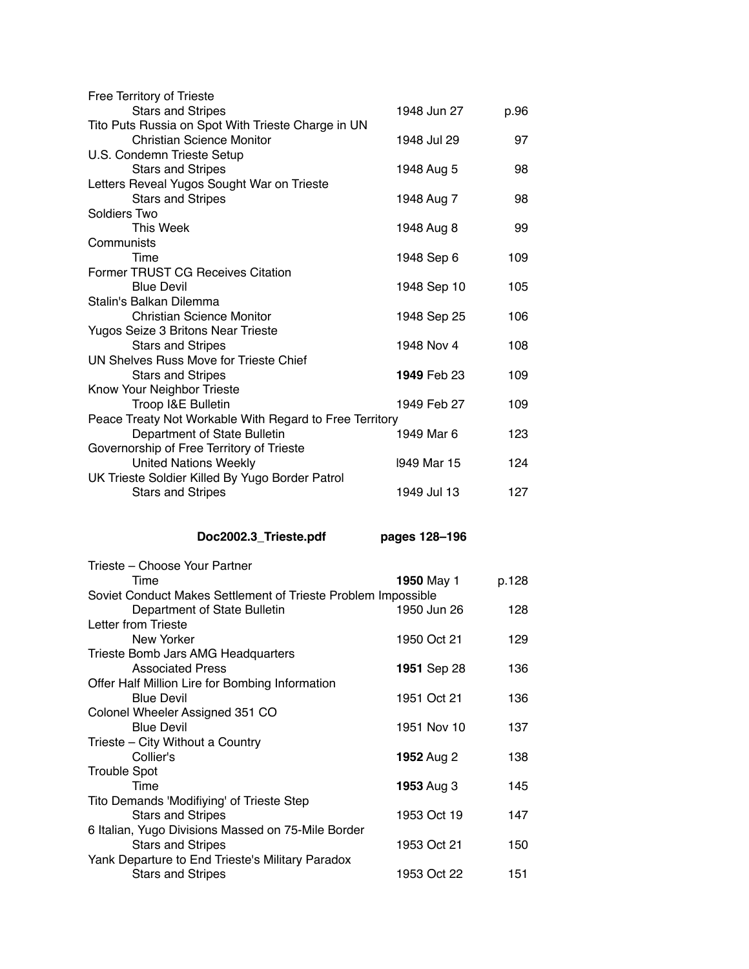| Free Territory of Trieste                                                       |               |       |
|---------------------------------------------------------------------------------|---------------|-------|
| <b>Stars and Stripes</b>                                                        | 1948 Jun 27   | p.96  |
| Tito Puts Russia on Spot With Trieste Charge in UN                              |               |       |
| <b>Christian Science Monitor</b>                                                | 1948 Jul 29   | 97    |
| U.S. Condemn Trieste Setup                                                      |               |       |
| <b>Stars and Stripes</b><br>Letters Reveal Yugos Sought War on Trieste          | 1948 Aug 5    | 98    |
| <b>Stars and Stripes</b>                                                        | 1948 Aug 7    | 98    |
| Soldiers Two                                                                    |               |       |
| This Week                                                                       | 1948 Aug 8    | 99    |
| Communists                                                                      |               |       |
| Time                                                                            | 1948 Sep 6    | 109   |
| Former TRUST CG Receives Citation                                               |               |       |
| <b>Blue Devil</b>                                                               | 1948 Sep 10   | 105   |
| Stalin's Balkan Dilemma<br><b>Christian Science Monitor</b>                     |               | 106   |
| Yugos Seize 3 Britons Near Trieste                                              | 1948 Sep 25   |       |
| <b>Stars and Stripes</b>                                                        | 1948 Nov 4    | 108   |
| UN Shelves Russ Move for Trieste Chief                                          |               |       |
| <b>Stars and Stripes</b>                                                        | 1949 Feb 23   | 109   |
| Know Your Neighbor Trieste                                                      |               |       |
| Troop I&E Bulletin                                                              | 1949 Feb 27   | 109   |
| Peace Treaty Not Workable With Regard to Free Territory                         |               |       |
| Department of State Bulletin                                                    | 1949 Mar 6    | 123   |
| Governorship of Free Territory of Trieste                                       |               | 124   |
| <b>United Nations Weekly</b><br>UK Trieste Soldier Killed By Yugo Border Patrol | 1949 Mar 15   |       |
| <b>Stars and Stripes</b>                                                        | 1949 Jul 13   | 127   |
|                                                                                 |               |       |
|                                                                                 |               |       |
|                                                                                 |               |       |
| Doc2002.3_Trieste.pdf                                                           | pages 128-196 |       |
| Trieste – Choose Your Partner                                                   |               |       |
| Time                                                                            | 1950 May 1    | p.128 |
| Soviet Conduct Makes Settlement of Trieste Problem Impossible                   |               |       |
| Department of State Bulletin                                                    | 1950 Jun 26   | 128   |
| Letter from Trieste                                                             |               |       |
| New Yorker                                                                      | 1950 Oct 21   | 129   |
| Trieste Bomb Jars AMG Headquarters                                              |               |       |
| <b>Associated Press</b>                                                         | 1951 Sep 28   | 136   |
| Offer Half Million Lire for Bombing Information                                 |               |       |
| <b>Blue Devil</b>                                                               | 1951 Oct 21   | 136   |
| Colonel Wheeler Assigned 351 CO<br><b>Blue Devil</b>                            | 1951 Nov 10   | 137   |
| Trieste - City Without a Country                                                |               |       |
| Collier's                                                                       | 1952 Aug 2    | 138   |
| <b>Trouble Spot</b>                                                             |               |       |
| Time                                                                            | 1953 Aug 3    | 145   |
| Tito Demands 'Modifiying' of Trieste Step                                       |               |       |
| <b>Stars and Stripes</b>                                                        | 1953 Oct 19   | 147   |
| 6 Italian, Yugo Divisions Massed on 75-Mile Border                              |               |       |
| <b>Stars and Stripes</b><br>Yank Departure to End Trieste's Military Paradox    | 1953 Oct 21   | 150   |